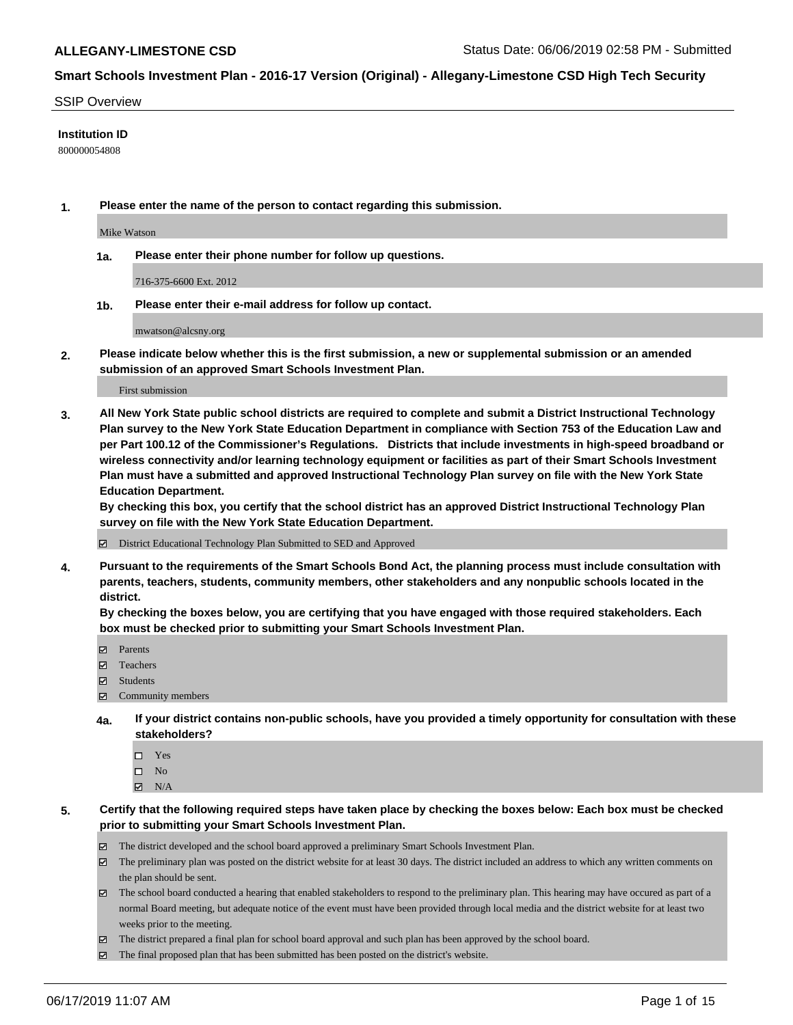### SSIP Overview

### **Institution ID**

800000054808

**1. Please enter the name of the person to contact regarding this submission.**

Mike Watson

**1a. Please enter their phone number for follow up questions.**

716-375-6600 Ext. 2012

**1b. Please enter their e-mail address for follow up contact.**

mwatson@alcsny.org

**2. Please indicate below whether this is the first submission, a new or supplemental submission or an amended submission of an approved Smart Schools Investment Plan.**

First submission

**3. All New York State public school districts are required to complete and submit a District Instructional Technology Plan survey to the New York State Education Department in compliance with Section 753 of the Education Law and per Part 100.12 of the Commissioner's Regulations. Districts that include investments in high-speed broadband or wireless connectivity and/or learning technology equipment or facilities as part of their Smart Schools Investment Plan must have a submitted and approved Instructional Technology Plan survey on file with the New York State Education Department.** 

**By checking this box, you certify that the school district has an approved District Instructional Technology Plan survey on file with the New York State Education Department.**

District Educational Technology Plan Submitted to SED and Approved

**4. Pursuant to the requirements of the Smart Schools Bond Act, the planning process must include consultation with parents, teachers, students, community members, other stakeholders and any nonpublic schools located in the district.** 

**By checking the boxes below, you are certifying that you have engaged with those required stakeholders. Each box must be checked prior to submitting your Smart Schools Investment Plan.**

- Parents
- Teachers
- Students
- Community members
- **4a. If your district contains non-public schools, have you provided a timely opportunity for consultation with these stakeholders?**
	- □ Yes
	- $\square$  No
	- $N/A$
- **5. Certify that the following required steps have taken place by checking the boxes below: Each box must be checked prior to submitting your Smart Schools Investment Plan.**
	- The district developed and the school board approved a preliminary Smart Schools Investment Plan.
	- $\boxtimes$  The preliminary plan was posted on the district website for at least 30 days. The district included an address to which any written comments on the plan should be sent.
	- The school board conducted a hearing that enabled stakeholders to respond to the preliminary plan. This hearing may have occured as part of a normal Board meeting, but adequate notice of the event must have been provided through local media and the district website for at least two weeks prior to the meeting.
	- The district prepared a final plan for school board approval and such plan has been approved by the school board.
	- $\boxtimes$  The final proposed plan that has been submitted has been posted on the district's website.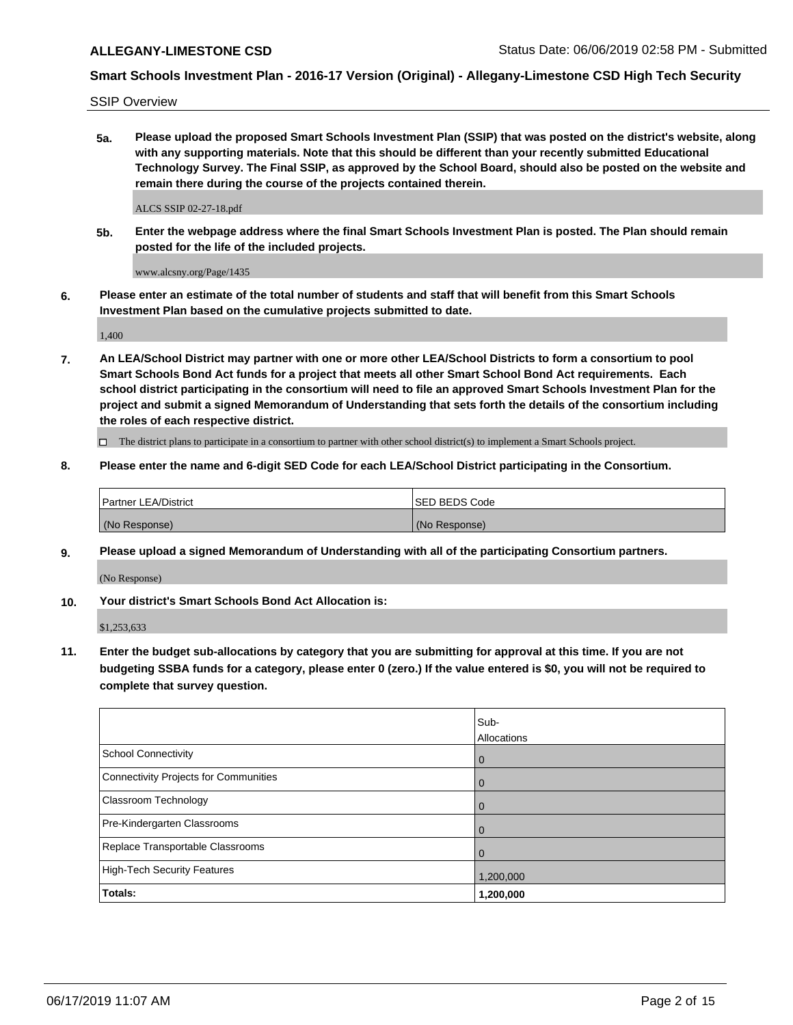SSIP Overview

**5a. Please upload the proposed Smart Schools Investment Plan (SSIP) that was posted on the district's website, along with any supporting materials. Note that this should be different than your recently submitted Educational Technology Survey. The Final SSIP, as approved by the School Board, should also be posted on the website and remain there during the course of the projects contained therein.**

ALCS SSIP 02-27-18.pdf

**5b. Enter the webpage address where the final Smart Schools Investment Plan is posted. The Plan should remain posted for the life of the included projects.**

www.alcsny.org/Page/1435

**6. Please enter an estimate of the total number of students and staff that will benefit from this Smart Schools Investment Plan based on the cumulative projects submitted to date.**

1,400

**7. An LEA/School District may partner with one or more other LEA/School Districts to form a consortium to pool Smart Schools Bond Act funds for a project that meets all other Smart School Bond Act requirements. Each school district participating in the consortium will need to file an approved Smart Schools Investment Plan for the project and submit a signed Memorandum of Understanding that sets forth the details of the consortium including the roles of each respective district.**

 $\Box$  The district plans to participate in a consortium to partner with other school district(s) to implement a Smart Schools project.

### **8. Please enter the name and 6-digit SED Code for each LEA/School District participating in the Consortium.**

| <b>Partner LEA/District</b> | ISED BEDS Code |
|-----------------------------|----------------|
| (No Response)               | (No Response)  |

### **9. Please upload a signed Memorandum of Understanding with all of the participating Consortium partners.**

(No Response)

**10. Your district's Smart Schools Bond Act Allocation is:**

\$1,253,633

**11. Enter the budget sub-allocations by category that you are submitting for approval at this time. If you are not budgeting SSBA funds for a category, please enter 0 (zero.) If the value entered is \$0, you will not be required to complete that survey question.**

|                                       | Sub-<br><b>Allocations</b> |
|---------------------------------------|----------------------------|
| <b>School Connectivity</b>            | $\mathbf 0$                |
| Connectivity Projects for Communities | $\overline{0}$             |
| <b>Classroom Technology</b>           | $\mathbf 0$                |
| Pre-Kindergarten Classrooms           | 0                          |
| Replace Transportable Classrooms      | $\Omega$                   |
| High-Tech Security Features           | 1,200,000                  |
| Totals:                               | 1,200,000                  |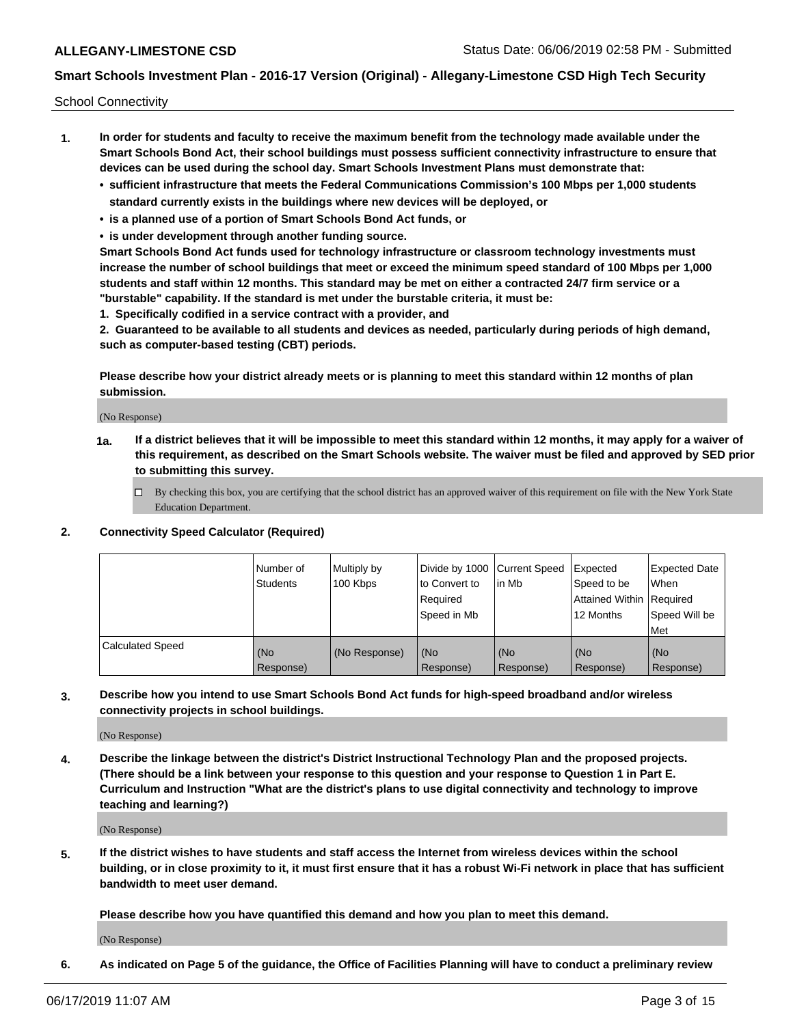School Connectivity

- **1. In order for students and faculty to receive the maximum benefit from the technology made available under the Smart Schools Bond Act, their school buildings must possess sufficient connectivity infrastructure to ensure that devices can be used during the school day. Smart Schools Investment Plans must demonstrate that:**
	- **• sufficient infrastructure that meets the Federal Communications Commission's 100 Mbps per 1,000 students standard currently exists in the buildings where new devices will be deployed, or**
	- **• is a planned use of a portion of Smart Schools Bond Act funds, or**
	- **• is under development through another funding source.**

**Smart Schools Bond Act funds used for technology infrastructure or classroom technology investments must increase the number of school buildings that meet or exceed the minimum speed standard of 100 Mbps per 1,000 students and staff within 12 months. This standard may be met on either a contracted 24/7 firm service or a "burstable" capability. If the standard is met under the burstable criteria, it must be:**

**1. Specifically codified in a service contract with a provider, and**

**2. Guaranteed to be available to all students and devices as needed, particularly during periods of high demand, such as computer-based testing (CBT) periods.**

**Please describe how your district already meets or is planning to meet this standard within 12 months of plan submission.**

(No Response)

**1a. If a district believes that it will be impossible to meet this standard within 12 months, it may apply for a waiver of this requirement, as described on the Smart Schools website. The waiver must be filed and approved by SED prior to submitting this survey.**

 $\Box$  By checking this box, you are certifying that the school district has an approved waiver of this requirement on file with the New York State Education Department.

### **2. Connectivity Speed Calculator (Required)**

|                         | Number of<br>Students | Multiply by<br>100 Kbps | Divide by 1000 Current Speed<br>to Convert to<br>Required<br>Speed in Mb | l in Mb          | Expected<br>Speed to be<br>Attained Within   Required<br>12 Months | <b>Expected Date</b><br>When<br>Speed Will be<br><b>Met</b> |
|-------------------------|-----------------------|-------------------------|--------------------------------------------------------------------------|------------------|--------------------------------------------------------------------|-------------------------------------------------------------|
| <b>Calculated Speed</b> | (No<br>Response)      | (No Response)           | (No<br>Response)                                                         | (No<br>Response) | (No<br>Response)                                                   | (No<br>Response)                                            |

**3. Describe how you intend to use Smart Schools Bond Act funds for high-speed broadband and/or wireless connectivity projects in school buildings.**

(No Response)

**4. Describe the linkage between the district's District Instructional Technology Plan and the proposed projects. (There should be a link between your response to this question and your response to Question 1 in Part E. Curriculum and Instruction "What are the district's plans to use digital connectivity and technology to improve teaching and learning?)**

(No Response)

**5. If the district wishes to have students and staff access the Internet from wireless devices within the school building, or in close proximity to it, it must first ensure that it has a robust Wi-Fi network in place that has sufficient bandwidth to meet user demand.**

**Please describe how you have quantified this demand and how you plan to meet this demand.**

(No Response)

**6. As indicated on Page 5 of the guidance, the Office of Facilities Planning will have to conduct a preliminary review**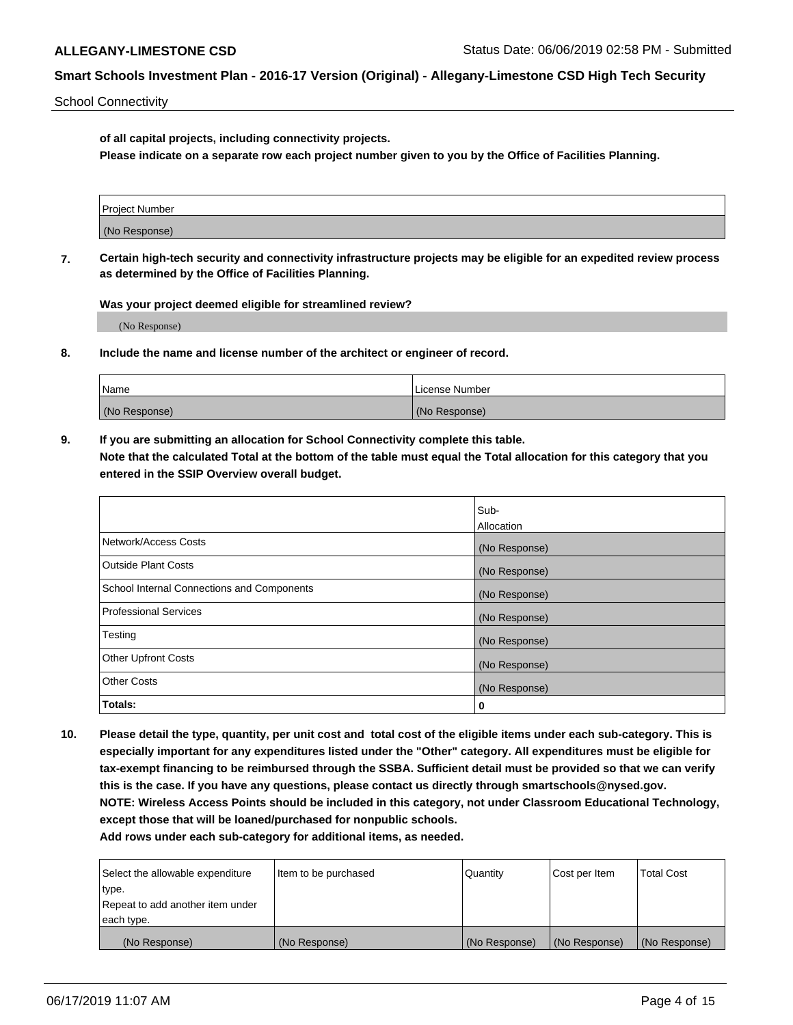School Connectivity

**of all capital projects, including connectivity projects.**

**Please indicate on a separate row each project number given to you by the Office of Facilities Planning.**

| Project Number |  |
|----------------|--|
|                |  |
| (No Response)  |  |
|                |  |

**7. Certain high-tech security and connectivity infrastructure projects may be eligible for an expedited review process as determined by the Office of Facilities Planning.**

**Was your project deemed eligible for streamlined review?**

(No Response)

**8. Include the name and license number of the architect or engineer of record.**

| Name          | License Number |
|---------------|----------------|
| (No Response) | (No Response)  |

**9. If you are submitting an allocation for School Connectivity complete this table. Note that the calculated Total at the bottom of the table must equal the Total allocation for this category that you entered in the SSIP Overview overall budget.** 

|                                            | Sub-          |
|--------------------------------------------|---------------|
|                                            | Allocation    |
| Network/Access Costs                       | (No Response) |
| Outside Plant Costs                        | (No Response) |
| School Internal Connections and Components | (No Response) |
| <b>Professional Services</b>               | (No Response) |
| Testing                                    | (No Response) |
| <b>Other Upfront Costs</b>                 | (No Response) |
| <b>Other Costs</b>                         | (No Response) |
| Totals:                                    | 0             |

**10. Please detail the type, quantity, per unit cost and total cost of the eligible items under each sub-category. This is especially important for any expenditures listed under the "Other" category. All expenditures must be eligible for tax-exempt financing to be reimbursed through the SSBA. Sufficient detail must be provided so that we can verify this is the case. If you have any questions, please contact us directly through smartschools@nysed.gov. NOTE: Wireless Access Points should be included in this category, not under Classroom Educational Technology, except those that will be loaned/purchased for nonpublic schools.**

| Select the allowable expenditure | Item to be purchased |               | Cost per Item | <b>Total Cost</b> |
|----------------------------------|----------------------|---------------|---------------|-------------------|
| type.                            |                      |               |               |                   |
| Repeat to add another item under |                      |               |               |                   |
| each type.                       |                      |               |               |                   |
| (No Response)                    | (No Response)        | (No Response) | (No Response) | (No Response)     |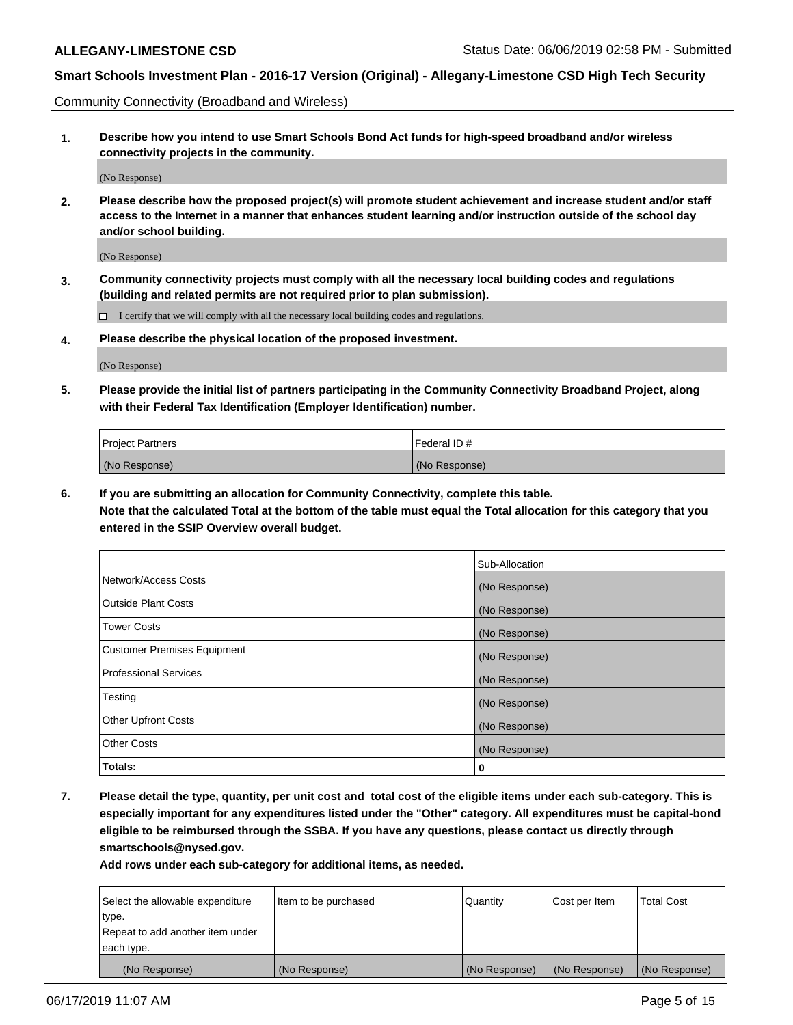Community Connectivity (Broadband and Wireless)

**1. Describe how you intend to use Smart Schools Bond Act funds for high-speed broadband and/or wireless connectivity projects in the community.**

(No Response)

**2. Please describe how the proposed project(s) will promote student achievement and increase student and/or staff access to the Internet in a manner that enhances student learning and/or instruction outside of the school day and/or school building.**

(No Response)

**3. Community connectivity projects must comply with all the necessary local building codes and regulations (building and related permits are not required prior to plan submission).**

 $\Box$  I certify that we will comply with all the necessary local building codes and regulations.

**4. Please describe the physical location of the proposed investment.**

(No Response)

**5. Please provide the initial list of partners participating in the Community Connectivity Broadband Project, along with their Federal Tax Identification (Employer Identification) number.**

| <b>Project Partners</b> | l Federal ID # |
|-------------------------|----------------|
| (No Response)           | (No Response)  |

**6. If you are submitting an allocation for Community Connectivity, complete this table.**

**Note that the calculated Total at the bottom of the table must equal the Total allocation for this category that you entered in the SSIP Overview overall budget.**

|                              | Sub-Allocation |
|------------------------------|----------------|
| Network/Access Costs         | (No Response)  |
| Outside Plant Costs          | (No Response)  |
| <b>Tower Costs</b>           | (No Response)  |
| Customer Premises Equipment  | (No Response)  |
| <b>Professional Services</b> | (No Response)  |
| Testing                      | (No Response)  |
| <b>Other Upfront Costs</b>   | (No Response)  |
| <b>Other Costs</b>           | (No Response)  |
| Totals:                      | 0              |

**7. Please detail the type, quantity, per unit cost and total cost of the eligible items under each sub-category. This is especially important for any expenditures listed under the "Other" category. All expenditures must be capital-bond eligible to be reimbursed through the SSBA. If you have any questions, please contact us directly through smartschools@nysed.gov.**

| Select the allowable expenditure<br>type.      | Item to be purchased | Quantity      | Cost per Item | <b>Total Cost</b> |
|------------------------------------------------|----------------------|---------------|---------------|-------------------|
| Repeat to add another item under<br>each type. |                      |               |               |                   |
| (No Response)                                  | (No Response)        | (No Response) | (No Response) | (No Response)     |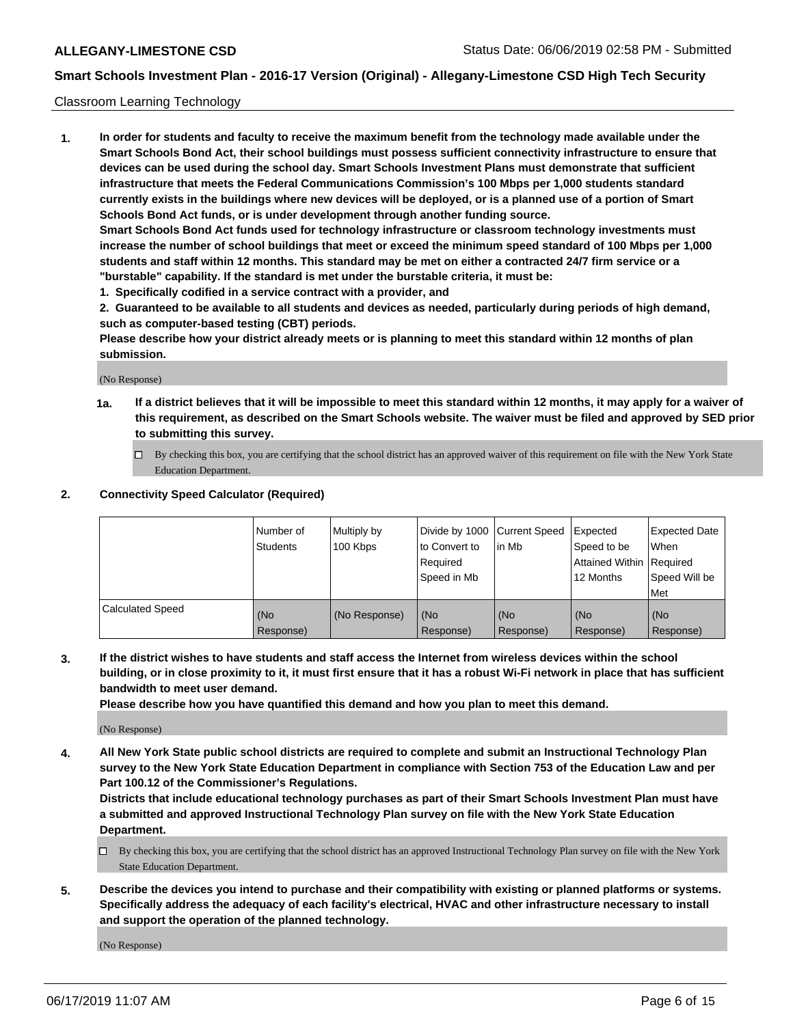### Classroom Learning Technology

**1. In order for students and faculty to receive the maximum benefit from the technology made available under the Smart Schools Bond Act, their school buildings must possess sufficient connectivity infrastructure to ensure that devices can be used during the school day. Smart Schools Investment Plans must demonstrate that sufficient infrastructure that meets the Federal Communications Commission's 100 Mbps per 1,000 students standard currently exists in the buildings where new devices will be deployed, or is a planned use of a portion of Smart Schools Bond Act funds, or is under development through another funding source. Smart Schools Bond Act funds used for technology infrastructure or classroom technology investments must increase the number of school buildings that meet or exceed the minimum speed standard of 100 Mbps per 1,000 students and staff within 12 months. This standard may be met on either a contracted 24/7 firm service or a**

- **"burstable" capability. If the standard is met under the burstable criteria, it must be:**
- **1. Specifically codified in a service contract with a provider, and**

**2. Guaranteed to be available to all students and devices as needed, particularly during periods of high demand, such as computer-based testing (CBT) periods.**

**Please describe how your district already meets or is planning to meet this standard within 12 months of plan submission.**

(No Response)

- **1a. If a district believes that it will be impossible to meet this standard within 12 months, it may apply for a waiver of this requirement, as described on the Smart Schools website. The waiver must be filed and approved by SED prior to submitting this survey.**
	- By checking this box, you are certifying that the school district has an approved waiver of this requirement on file with the New York State Education Department.

### **2. Connectivity Speed Calculator (Required)**

|                         | I Number of<br>Students | Multiply by<br>100 Kbps | to Convert to<br>Required<br>Speed in Mb | Divide by 1000 Current Speed Expected<br>lin Mb | Speed to be<br>Attained Within Required<br>12 Months | <b>Expected Date</b><br>When<br>Speed Will be<br>Met |
|-------------------------|-------------------------|-------------------------|------------------------------------------|-------------------------------------------------|------------------------------------------------------|------------------------------------------------------|
| <b>Calculated Speed</b> | (No<br>Response)        | (No Response)           | (No<br>Response)                         | (No<br>Response)                                | (No<br>Response)                                     | (No<br>Response)                                     |

**3. If the district wishes to have students and staff access the Internet from wireless devices within the school building, or in close proximity to it, it must first ensure that it has a robust Wi-Fi network in place that has sufficient bandwidth to meet user demand.**

**Please describe how you have quantified this demand and how you plan to meet this demand.**

(No Response)

**4. All New York State public school districts are required to complete and submit an Instructional Technology Plan survey to the New York State Education Department in compliance with Section 753 of the Education Law and per Part 100.12 of the Commissioner's Regulations.**

**Districts that include educational technology purchases as part of their Smart Schools Investment Plan must have a submitted and approved Instructional Technology Plan survey on file with the New York State Education Department.**

- $\Box$  By checking this box, you are certifying that the school district has an approved Instructional Technology Plan survey on file with the New York State Education Department.
- **5. Describe the devices you intend to purchase and their compatibility with existing or planned platforms or systems. Specifically address the adequacy of each facility's electrical, HVAC and other infrastructure necessary to install and support the operation of the planned technology.**

(No Response)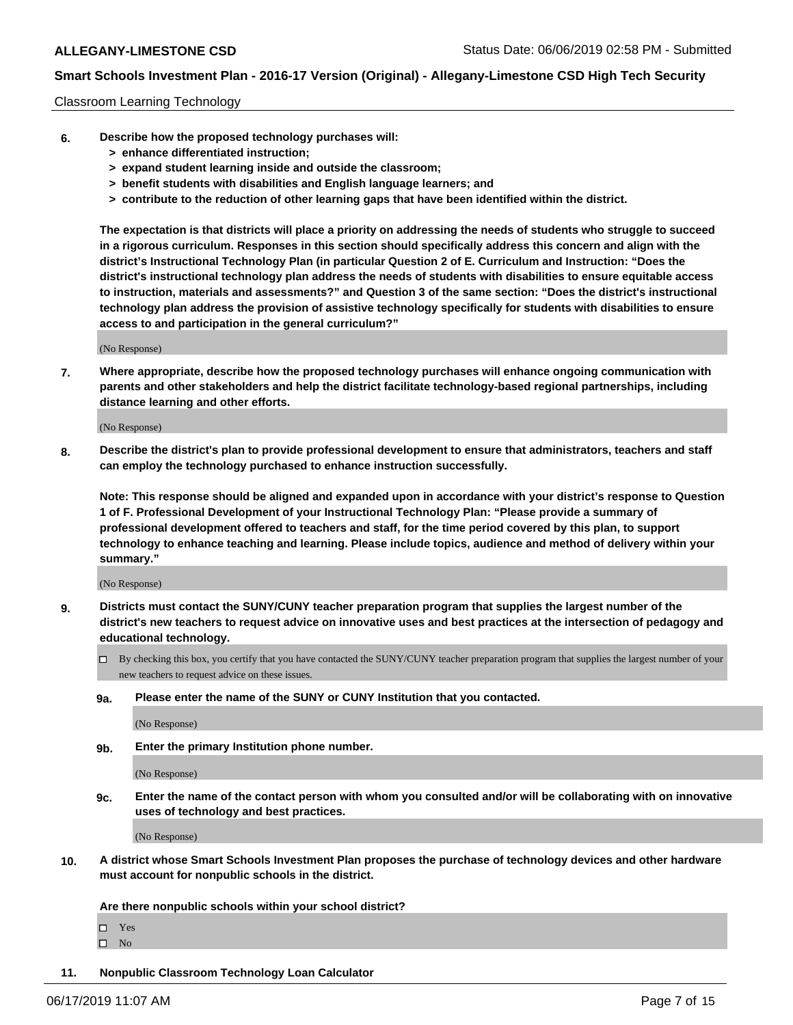### Classroom Learning Technology

- **6. Describe how the proposed technology purchases will:**
	- **> enhance differentiated instruction;**
	- **> expand student learning inside and outside the classroom;**
	- **> benefit students with disabilities and English language learners; and**
	- **> contribute to the reduction of other learning gaps that have been identified within the district.**

**The expectation is that districts will place a priority on addressing the needs of students who struggle to succeed in a rigorous curriculum. Responses in this section should specifically address this concern and align with the district's Instructional Technology Plan (in particular Question 2 of E. Curriculum and Instruction: "Does the district's instructional technology plan address the needs of students with disabilities to ensure equitable access to instruction, materials and assessments?" and Question 3 of the same section: "Does the district's instructional technology plan address the provision of assistive technology specifically for students with disabilities to ensure access to and participation in the general curriculum?"**

(No Response)

**7. Where appropriate, describe how the proposed technology purchases will enhance ongoing communication with parents and other stakeholders and help the district facilitate technology-based regional partnerships, including distance learning and other efforts.**

(No Response)

**8. Describe the district's plan to provide professional development to ensure that administrators, teachers and staff can employ the technology purchased to enhance instruction successfully.**

**Note: This response should be aligned and expanded upon in accordance with your district's response to Question 1 of F. Professional Development of your Instructional Technology Plan: "Please provide a summary of professional development offered to teachers and staff, for the time period covered by this plan, to support technology to enhance teaching and learning. Please include topics, audience and method of delivery within your summary."**

(No Response)

- **9. Districts must contact the SUNY/CUNY teacher preparation program that supplies the largest number of the district's new teachers to request advice on innovative uses and best practices at the intersection of pedagogy and educational technology.**
	- By checking this box, you certify that you have contacted the SUNY/CUNY teacher preparation program that supplies the largest number of your new teachers to request advice on these issues.
	- **9a. Please enter the name of the SUNY or CUNY Institution that you contacted.**

(No Response)

**9b. Enter the primary Institution phone number.**

(No Response)

**9c. Enter the name of the contact person with whom you consulted and/or will be collaborating with on innovative uses of technology and best practices.**

(No Response)

**10. A district whose Smart Schools Investment Plan proposes the purchase of technology devices and other hardware must account for nonpublic schools in the district.**

**Are there nonpublic schools within your school district?**

Yes

 $\square$  No

**11. Nonpublic Classroom Technology Loan Calculator**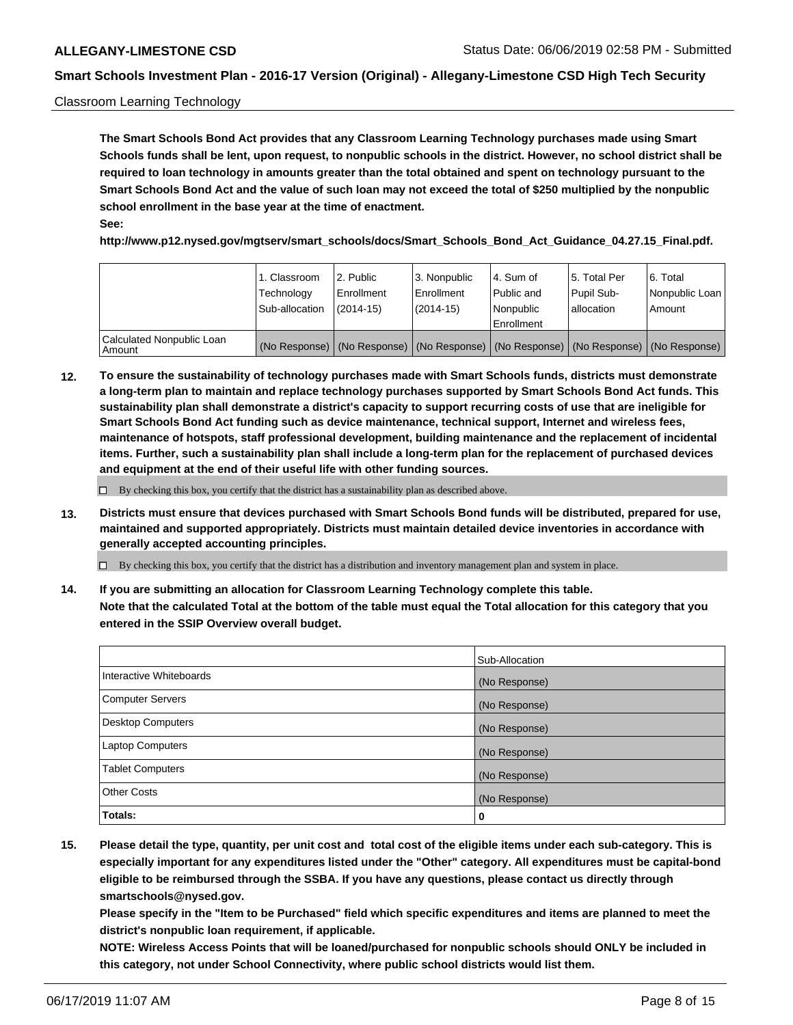### Classroom Learning Technology

**The Smart Schools Bond Act provides that any Classroom Learning Technology purchases made using Smart Schools funds shall be lent, upon request, to nonpublic schools in the district. However, no school district shall be required to loan technology in amounts greater than the total obtained and spent on technology pursuant to the Smart Schools Bond Act and the value of such loan may not exceed the total of \$250 multiplied by the nonpublic school enrollment in the base year at the time of enactment. See:**

**http://www.p12.nysed.gov/mgtserv/smart\_schools/docs/Smart\_Schools\_Bond\_Act\_Guidance\_04.27.15\_Final.pdf.**

|                                       | 1. Classroom<br>Technology<br>Sub-allocation | l 2. Public<br>Enrollment<br>$(2014-15)$ | 3. Nonpublic<br>l Enrollment<br>$(2014-15)$ | l 4. Sum of<br>Public and<br>l Nonpublic<br>Enrollment                                        | l 5. Total Per<br>Pupil Sub-<br>l allocation | l 6. Total<br>Nonpublic Loan<br>Amount |
|---------------------------------------|----------------------------------------------|------------------------------------------|---------------------------------------------|-----------------------------------------------------------------------------------------------|----------------------------------------------|----------------------------------------|
| Calculated Nonpublic Loan<br>l Amount |                                              |                                          |                                             | (No Response)   (No Response)   (No Response)   (No Response)   (No Response)   (No Response) |                                              |                                        |

**12. To ensure the sustainability of technology purchases made with Smart Schools funds, districts must demonstrate a long-term plan to maintain and replace technology purchases supported by Smart Schools Bond Act funds. This sustainability plan shall demonstrate a district's capacity to support recurring costs of use that are ineligible for Smart Schools Bond Act funding such as device maintenance, technical support, Internet and wireless fees, maintenance of hotspots, staff professional development, building maintenance and the replacement of incidental items. Further, such a sustainability plan shall include a long-term plan for the replacement of purchased devices and equipment at the end of their useful life with other funding sources.**

 $\Box$  By checking this box, you certify that the district has a sustainability plan as described above.

**13. Districts must ensure that devices purchased with Smart Schools Bond funds will be distributed, prepared for use, maintained and supported appropriately. Districts must maintain detailed device inventories in accordance with generally accepted accounting principles.**

By checking this box, you certify that the district has a distribution and inventory management plan and system in place.

**14. If you are submitting an allocation for Classroom Learning Technology complete this table. Note that the calculated Total at the bottom of the table must equal the Total allocation for this category that you entered in the SSIP Overview overall budget.**

|                          | Sub-Allocation |
|--------------------------|----------------|
| Interactive Whiteboards  | (No Response)  |
| <b>Computer Servers</b>  | (No Response)  |
| <b>Desktop Computers</b> | (No Response)  |
| <b>Laptop Computers</b>  | (No Response)  |
| <b>Tablet Computers</b>  | (No Response)  |
| <b>Other Costs</b>       | (No Response)  |
| Totals:                  | 0              |

**15. Please detail the type, quantity, per unit cost and total cost of the eligible items under each sub-category. This is especially important for any expenditures listed under the "Other" category. All expenditures must be capital-bond eligible to be reimbursed through the SSBA. If you have any questions, please contact us directly through smartschools@nysed.gov.**

**Please specify in the "Item to be Purchased" field which specific expenditures and items are planned to meet the district's nonpublic loan requirement, if applicable.**

**NOTE: Wireless Access Points that will be loaned/purchased for nonpublic schools should ONLY be included in this category, not under School Connectivity, where public school districts would list them.**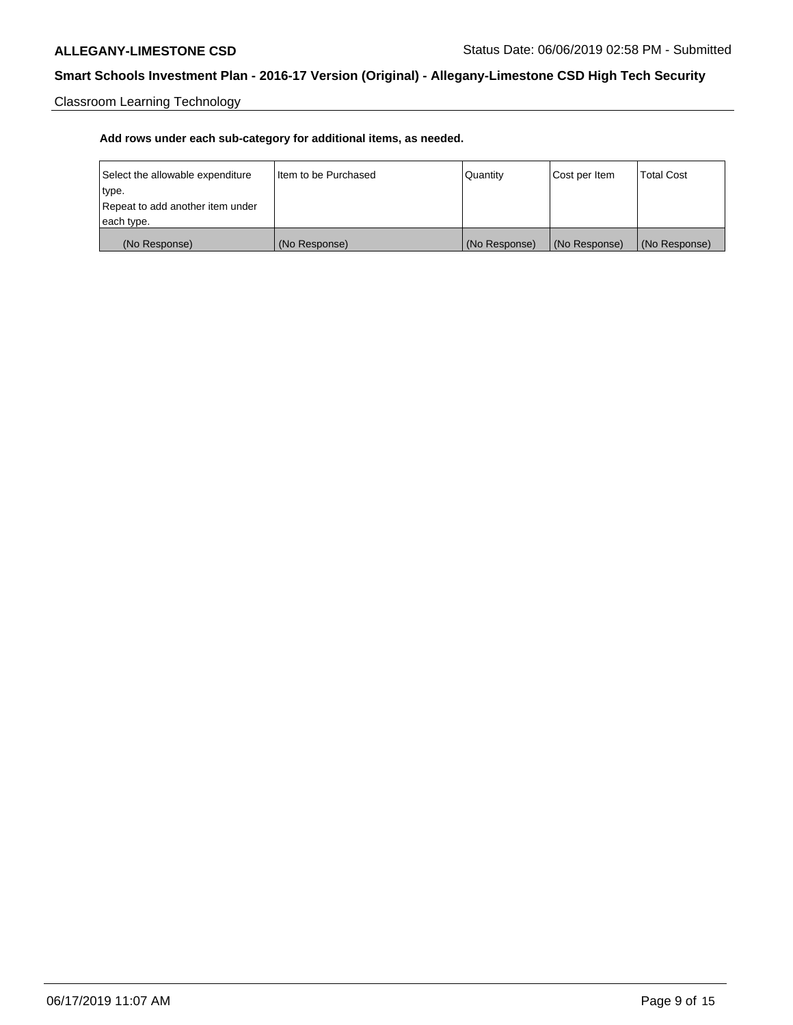Classroom Learning Technology

| Select the allowable expenditure | Iltem to be Purchased | Quantity      | Cost per Item | <b>Total Cost</b> |
|----------------------------------|-----------------------|---------------|---------------|-------------------|
| type.                            |                       |               |               |                   |
| Repeat to add another item under |                       |               |               |                   |
| each type.                       |                       |               |               |                   |
| (No Response)                    | (No Response)         | (No Response) | (No Response) | (No Response)     |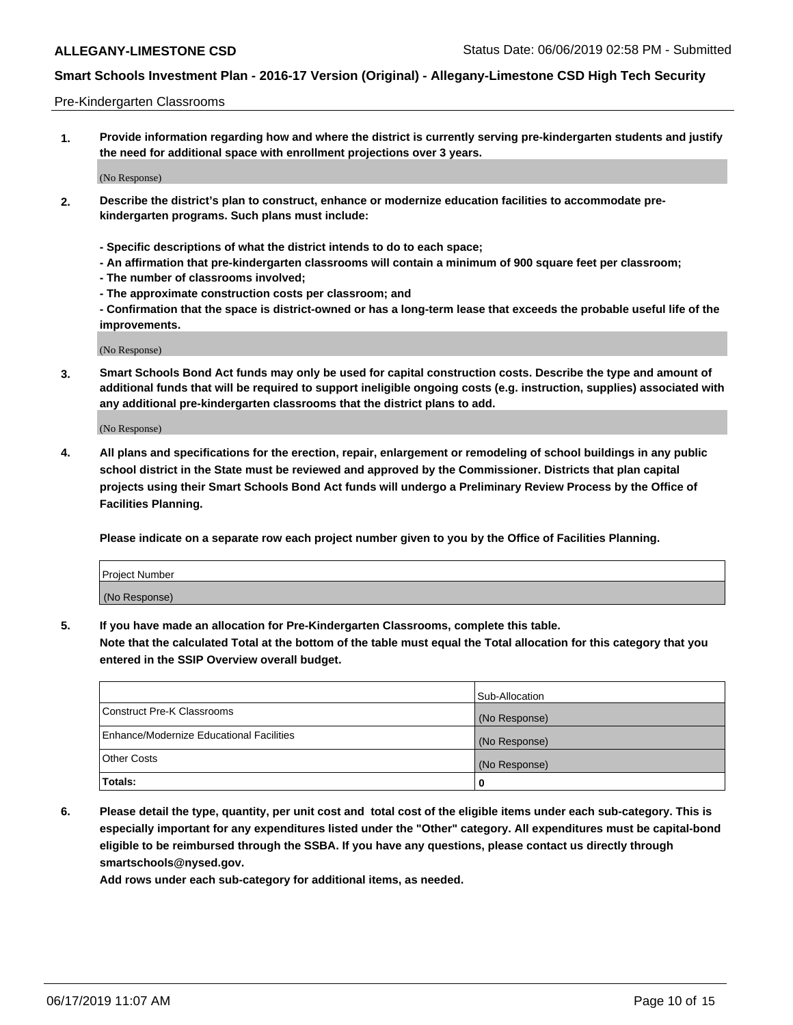### Pre-Kindergarten Classrooms

**1. Provide information regarding how and where the district is currently serving pre-kindergarten students and justify the need for additional space with enrollment projections over 3 years.**

(No Response)

- **2. Describe the district's plan to construct, enhance or modernize education facilities to accommodate prekindergarten programs. Such plans must include:**
	- **Specific descriptions of what the district intends to do to each space;**
	- **An affirmation that pre-kindergarten classrooms will contain a minimum of 900 square feet per classroom;**
	- **The number of classrooms involved;**
	- **The approximate construction costs per classroom; and**
	- **Confirmation that the space is district-owned or has a long-term lease that exceeds the probable useful life of the improvements.**

(No Response)

**3. Smart Schools Bond Act funds may only be used for capital construction costs. Describe the type and amount of additional funds that will be required to support ineligible ongoing costs (e.g. instruction, supplies) associated with any additional pre-kindergarten classrooms that the district plans to add.**

(No Response)

**4. All plans and specifications for the erection, repair, enlargement or remodeling of school buildings in any public school district in the State must be reviewed and approved by the Commissioner. Districts that plan capital projects using their Smart Schools Bond Act funds will undergo a Preliminary Review Process by the Office of Facilities Planning.**

**Please indicate on a separate row each project number given to you by the Office of Facilities Planning.**

| Project Number |  |
|----------------|--|
| (No Response)  |  |
|                |  |

**5. If you have made an allocation for Pre-Kindergarten Classrooms, complete this table.**

**Note that the calculated Total at the bottom of the table must equal the Total allocation for this category that you entered in the SSIP Overview overall budget.**

|                                          | Sub-Allocation |
|------------------------------------------|----------------|
| Construct Pre-K Classrooms               | (No Response)  |
| Enhance/Modernize Educational Facilities | (No Response)  |
| <b>Other Costs</b>                       | (No Response)  |
| Totals:                                  | 0              |

**6. Please detail the type, quantity, per unit cost and total cost of the eligible items under each sub-category. This is especially important for any expenditures listed under the "Other" category. All expenditures must be capital-bond eligible to be reimbursed through the SSBA. If you have any questions, please contact us directly through smartschools@nysed.gov.**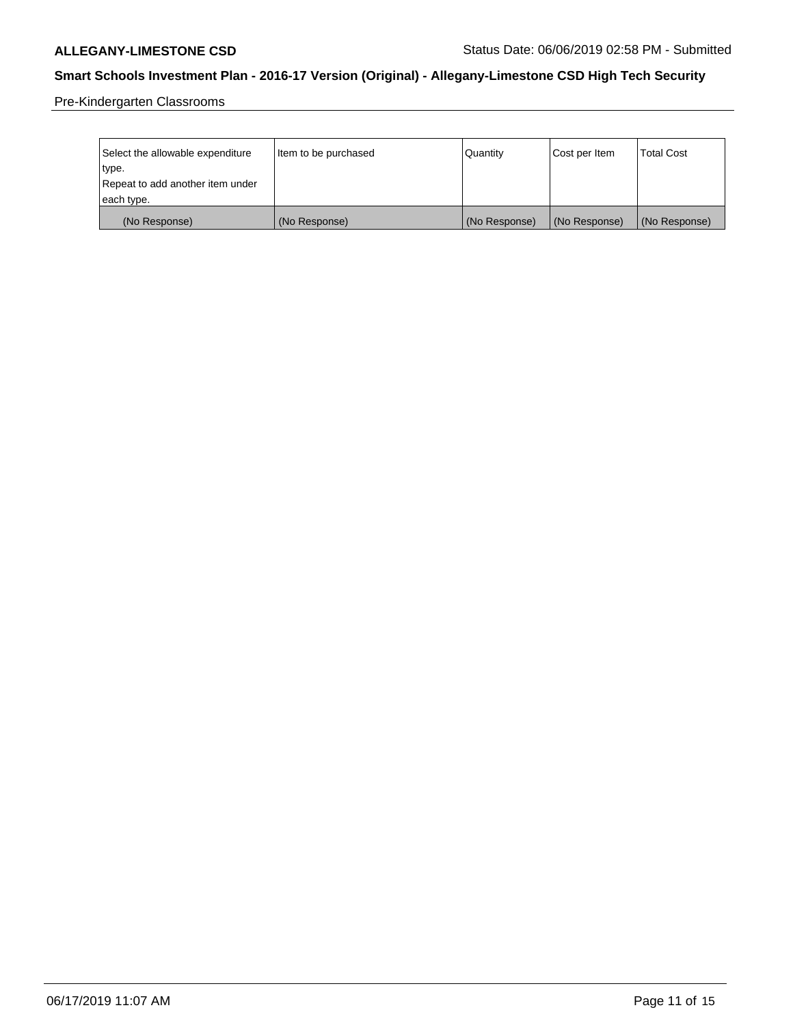Pre-Kindergarten Classrooms

| Select the allowable expenditure | Item to be purchased | Quantity      | Cost per Item | <b>Total Cost</b> |
|----------------------------------|----------------------|---------------|---------------|-------------------|
| type.                            |                      |               |               |                   |
| Repeat to add another item under |                      |               |               |                   |
| each type.                       |                      |               |               |                   |
| (No Response)                    | (No Response)        | (No Response) | (No Response) | (No Response)     |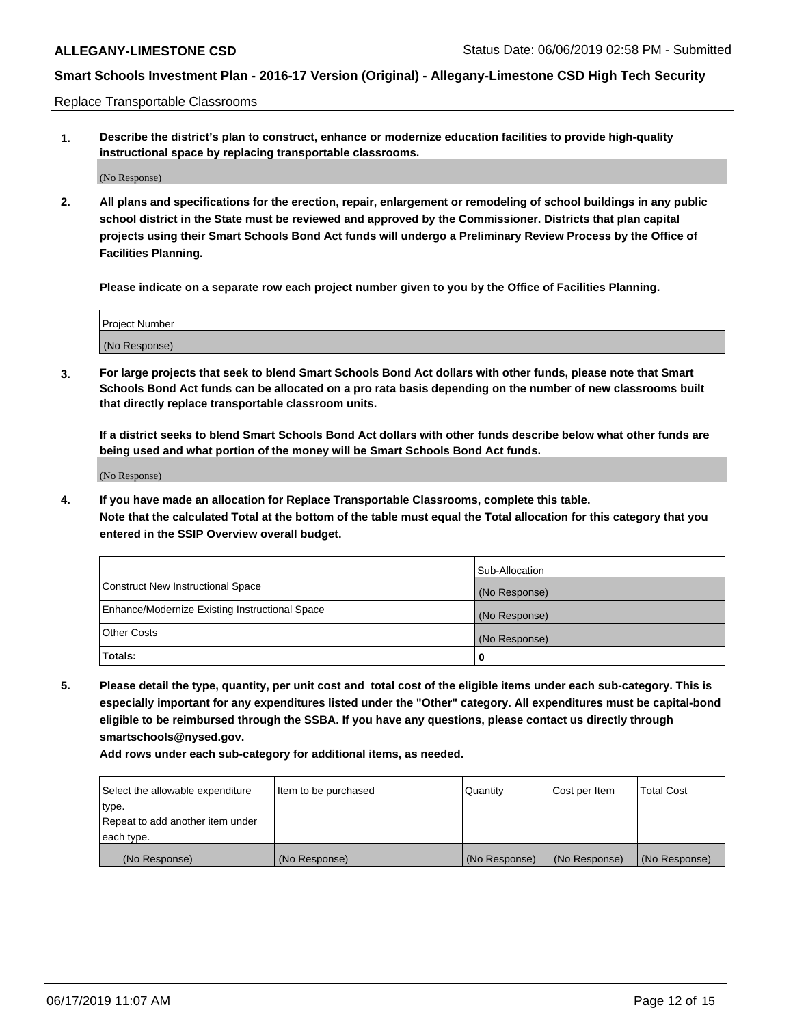Replace Transportable Classrooms

**1. Describe the district's plan to construct, enhance or modernize education facilities to provide high-quality instructional space by replacing transportable classrooms.**

(No Response)

**2. All plans and specifications for the erection, repair, enlargement or remodeling of school buildings in any public school district in the State must be reviewed and approved by the Commissioner. Districts that plan capital projects using their Smart Schools Bond Act funds will undergo a Preliminary Review Process by the Office of Facilities Planning.**

**Please indicate on a separate row each project number given to you by the Office of Facilities Planning.**

| Project Number |  |
|----------------|--|
|                |  |
| (No Response)  |  |

**3. For large projects that seek to blend Smart Schools Bond Act dollars with other funds, please note that Smart Schools Bond Act funds can be allocated on a pro rata basis depending on the number of new classrooms built that directly replace transportable classroom units.**

**If a district seeks to blend Smart Schools Bond Act dollars with other funds describe below what other funds are being used and what portion of the money will be Smart Schools Bond Act funds.**

(No Response)

**4. If you have made an allocation for Replace Transportable Classrooms, complete this table. Note that the calculated Total at the bottom of the table must equal the Total allocation for this category that you entered in the SSIP Overview overall budget.**

|                                                | Sub-Allocation |
|------------------------------------------------|----------------|
| Construct New Instructional Space              | (No Response)  |
| Enhance/Modernize Existing Instructional Space | (No Response)  |
| <b>Other Costs</b>                             | (No Response)  |
| Totals:                                        | 0              |

**5. Please detail the type, quantity, per unit cost and total cost of the eligible items under each sub-category. This is especially important for any expenditures listed under the "Other" category. All expenditures must be capital-bond eligible to be reimbursed through the SSBA. If you have any questions, please contact us directly through smartschools@nysed.gov.**

| Select the allowable expenditure | Item to be purchased | l Quantitv    | Cost per Item | <b>Total Cost</b> |
|----------------------------------|----------------------|---------------|---------------|-------------------|
| type.                            |                      |               |               |                   |
| Repeat to add another item under |                      |               |               |                   |
| each type.                       |                      |               |               |                   |
| (No Response)                    | (No Response)        | (No Response) | (No Response) | (No Response)     |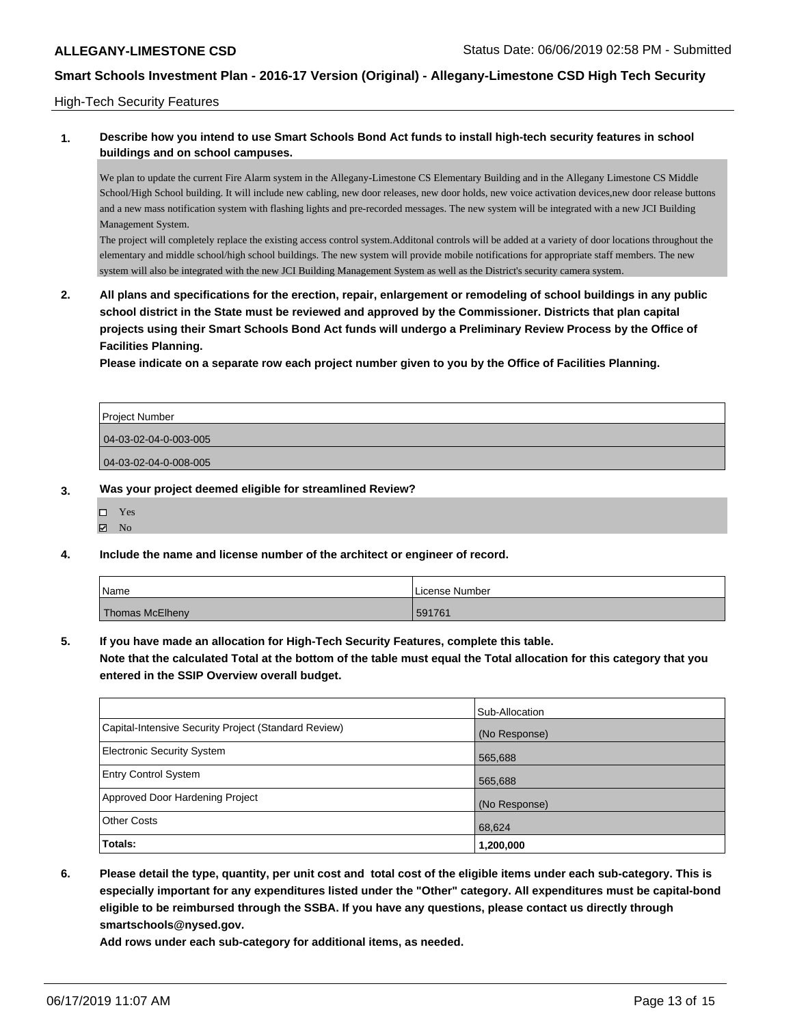### High-Tech Security Features

### **1. Describe how you intend to use Smart Schools Bond Act funds to install high-tech security features in school buildings and on school campuses.**

We plan to update the current Fire Alarm system in the Allegany-Limestone CS Elementary Building and in the Allegany Limestone CS Middle School/High School building. It will include new cabling, new door releases, new door holds, new voice activation devices,new door release buttons and a new mass notification system with flashing lights and pre-recorded messages. The new system will be integrated with a new JCI Building Management System.

The project will completely replace the existing access control system.Additonal controls will be added at a variety of door locations throughout the elementary and middle school/high school buildings. The new system will provide mobile notifications for appropriate staff members. The new system will also be integrated with the new JCI Building Management System as well as the District's security camera system.

**2. All plans and specifications for the erection, repair, enlargement or remodeling of school buildings in any public school district in the State must be reviewed and approved by the Commissioner. Districts that plan capital projects using their Smart Schools Bond Act funds will undergo a Preliminary Review Process by the Office of Facilities Planning.** 

**Please indicate on a separate row each project number given to you by the Office of Facilities Planning.**

| <b>Project Number</b> |  |
|-----------------------|--|
| 04-03-02-04-0-003-005 |  |
| 04-03-02-04-0-008-005 |  |

### **3. Was your project deemed eligible for streamlined Review?**

- Yes
- $\boxtimes$  No
- **4. Include the name and license number of the architect or engineer of record.**

| Name                   | License Number |
|------------------------|----------------|
| <b>Thomas McElheny</b> | 591761         |

**5. If you have made an allocation for High-Tech Security Features, complete this table.**

**Note that the calculated Total at the bottom of the table must equal the Total allocation for this category that you entered in the SSIP Overview overall budget.**

|                                                      | Sub-Allocation |
|------------------------------------------------------|----------------|
| Capital-Intensive Security Project (Standard Review) | (No Response)  |
| <b>Electronic Security System</b>                    | 565,688        |
| <b>Entry Control System</b>                          | 565,688        |
| Approved Door Hardening Project                      | (No Response)  |
| <b>Other Costs</b>                                   | 68,624         |
| Totals:                                              | 1,200,000      |

**6. Please detail the type, quantity, per unit cost and total cost of the eligible items under each sub-category. This is especially important for any expenditures listed under the "Other" category. All expenditures must be capital-bond eligible to be reimbursed through the SSBA. If you have any questions, please contact us directly through smartschools@nysed.gov.**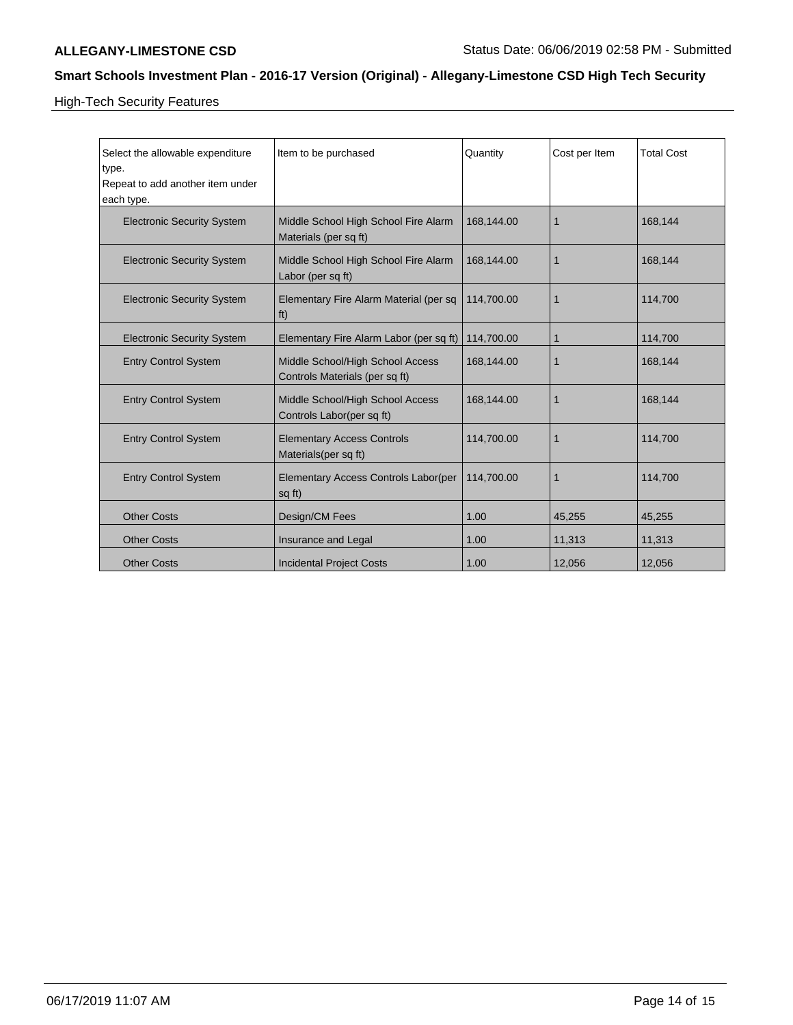High-Tech Security Features

| Select the allowable expenditure<br>type.<br>Repeat to add another item under<br>each type. | Item to be purchased                                               | Quantity   | Cost per Item | <b>Total Cost</b> |
|---------------------------------------------------------------------------------------------|--------------------------------------------------------------------|------------|---------------|-------------------|
| <b>Electronic Security System</b>                                                           | Middle School High School Fire Alarm<br>Materials (per sq ft)      | 168,144.00 | $\mathbf 1$   | 168,144           |
| <b>Electronic Security System</b>                                                           | Middle School High School Fire Alarm<br>Labor (per sq ft)          | 168.144.00 | 1             | 168,144           |
| <b>Electronic Security System</b>                                                           | Elementary Fire Alarm Material (per sq<br>ft)                      | 114,700.00 | 1             | 114,700           |
| <b>Electronic Security System</b>                                                           | Elementary Fire Alarm Labor (per sq ft)                            | 114,700.00 | 1             | 114,700           |
| <b>Entry Control System</b>                                                                 | Middle School/High School Access<br>Controls Materials (per sq ft) | 168,144.00 | $\mathbf 1$   | 168.144           |
| <b>Entry Control System</b>                                                                 | Middle School/High School Access<br>Controls Labor(per sq ft)      | 168,144.00 | 1             | 168,144           |
| <b>Entry Control System</b>                                                                 | <b>Elementary Access Controls</b><br>Materials(per sq ft)          | 114,700.00 | $\mathbf 1$   | 114,700           |
| <b>Entry Control System</b>                                                                 | Elementary Access Controls Labor(per<br>sq ft)                     | 114,700.00 | $\mathbf{1}$  | 114,700           |
| <b>Other Costs</b>                                                                          | Design/CM Fees                                                     | 1.00       | 45,255        | 45,255            |
| <b>Other Costs</b>                                                                          | Insurance and Legal                                                | 1.00       | 11,313        | 11,313            |
| <b>Other Costs</b>                                                                          | <b>Incidental Project Costs</b>                                    | 1.00       | 12,056        | 12,056            |